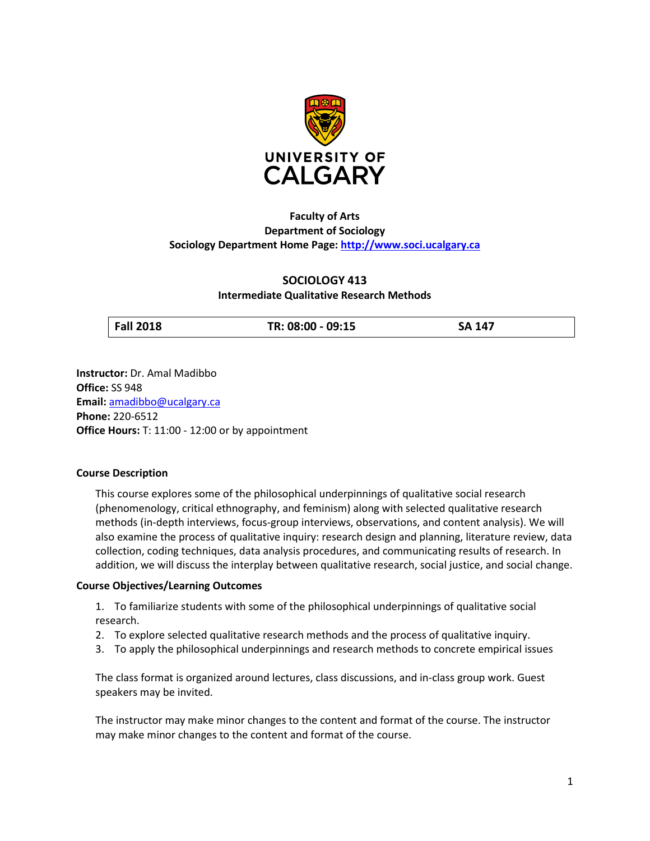

# **Faculty of Arts Department of Sociology Sociology Department Home Page: [http://www.soci.ucalgary.ca](http://www.soci.ucalgary.ca/)**

## **SOCIOLOGY 413**

## **Intermediate Qualitative Research Methods**

**Fall 2018 TR: 08:00 - 09:15 SA 147**

**Instructor:** Dr. Amal Madibbo **Office:** SS 948 **Email:** [amadibbo@ucalgary.ca](mailto:amadibbo@ucalgary.ca) **Phone:** 220-6512 **Office Hours:** T: 11:00 - 12:00 or by appointment

## **Course Description**

This course explores some of the philosophical underpinnings of qualitative social research (phenomenology, critical ethnography, and feminism) along with selected qualitative research methods (in-depth interviews, focus-group interviews, observations, and content analysis). We will also examine the process of qualitative inquiry: research design and planning, literature review, data collection, coding techniques, data analysis procedures, and communicating results of research. In addition, we will discuss the interplay between qualitative research, social justice, and social change.

## **Course Objectives/Learning Outcomes**

1. To familiarize students with some of the philosophical underpinnings of qualitative social research.

- 2. To explore selected qualitative research methods and the process of qualitative inquiry.
- 3. To apply the philosophical underpinnings and research methods to concrete empirical issues

The class format is organized around lectures, class discussions, and in-class group work. Guest speakers may be invited.

The instructor may make minor changes to the content and format of the course. The instructor may make minor changes to the content and format of the course.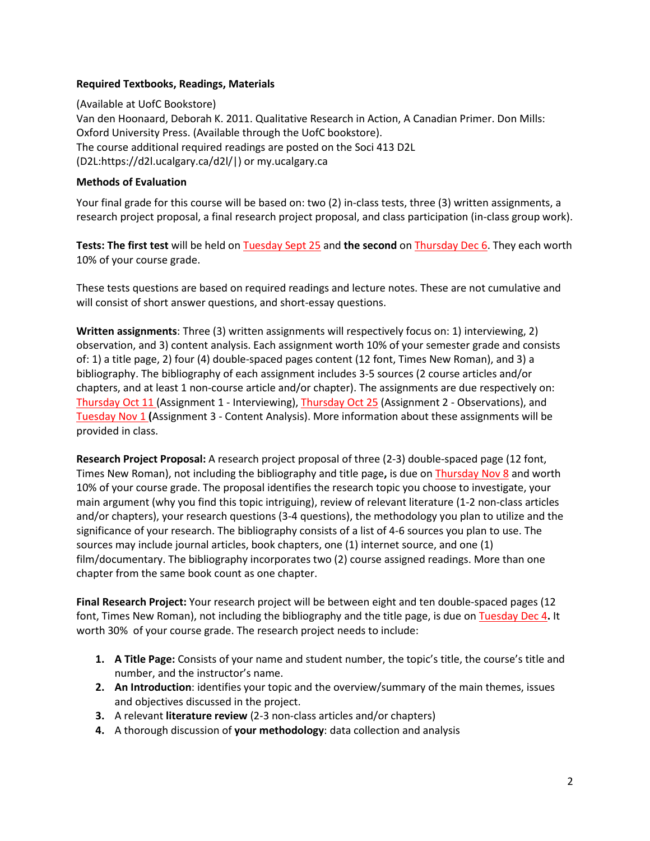## **Required Textbooks, Readings, Materials**

(Available at UofC Bookstore) Van den Hoonaard, Deborah K. 2011. Qualitative Research in Action, A Canadian Primer. Don Mills: Oxford University Press. (Available through the UofC bookstore). The course additional required readings are posted on the Soci 413 D2L (D2L:https://d2l.ucalgary.ca/d2l/|) or my.ucalgary.ca

### **Methods of Evaluation**

Your final grade for this course will be based on: two (2) in-class tests, three (3) written assignments, a research project proposal, a final research project proposal, and class participation (in-class group work).

**Tests: The first test** will be held on Tuesday Sept 25 and **the second** on Thursday Dec 6. They each worth 10% of your course grade.

These tests questions are based on required readings and lecture notes. These are not cumulative and will consist of short answer questions, and short-essay questions.

**Written assignments**: Three (3) written assignments will respectively focus on: 1) interviewing, 2) observation, and 3) content analysis. Each assignment worth 10% of your semester grade and consists of: 1) a title page, 2) four (4) double-spaced pages content (12 font, Times New Roman), and 3) a bibliography. The bibliography of each assignment includes 3-5 sources (2 course articles and/or chapters, and at least 1 non-course article and/or chapter). The assignments are due respectively on: Thursday Oct 11 (Assignment 1 - Interviewing), Thursday Oct 25 (Assignment 2 - Observations), and Tuesday Nov 1 **(**Assignment 3 - Content Analysis). More information about these assignments will be provided in class.

**Research Project Proposal:** A research project proposal of three (2-3) double-spaced page (12 font, Times New Roman), not including the bibliography and title page**,** is due on Thursday Nov 8 and worth 10% of your course grade. The proposal identifies the research topic you choose to investigate, your main argument (why you find this topic intriguing), review of relevant literature (1-2 non-class articles and/or chapters), your research questions (3-4 questions), the methodology you plan to utilize and the significance of your research. The bibliography consists of a list of 4-6 sources you plan to use. The sources may include journal articles, book chapters, one (1) internet source, and one (1) film/documentary. The bibliography incorporates two (2) course assigned readings. More than one chapter from the same book count as one chapter.

**Final Research Project:** Your research project will be between eight and ten double-spaced pages (12 font, Times New Roman), not including the bibliography and the title page, is due on Tuesday Dec 4**.** It worth 30% of your course grade. The research project needs to include:

- **1. A Title Page:** Consists of your name and student number, the topic's title, the course's title and number, and the instructor's name.
- **2. An Introduction**: identifies your topic and the overview/summary of the main themes, issues and objectives discussed in the project.
- **3.** A relevant **literature review** (2-3 non-class articles and/or chapters)
- **4.** A thorough discussion of **your methodology**: data collection and analysis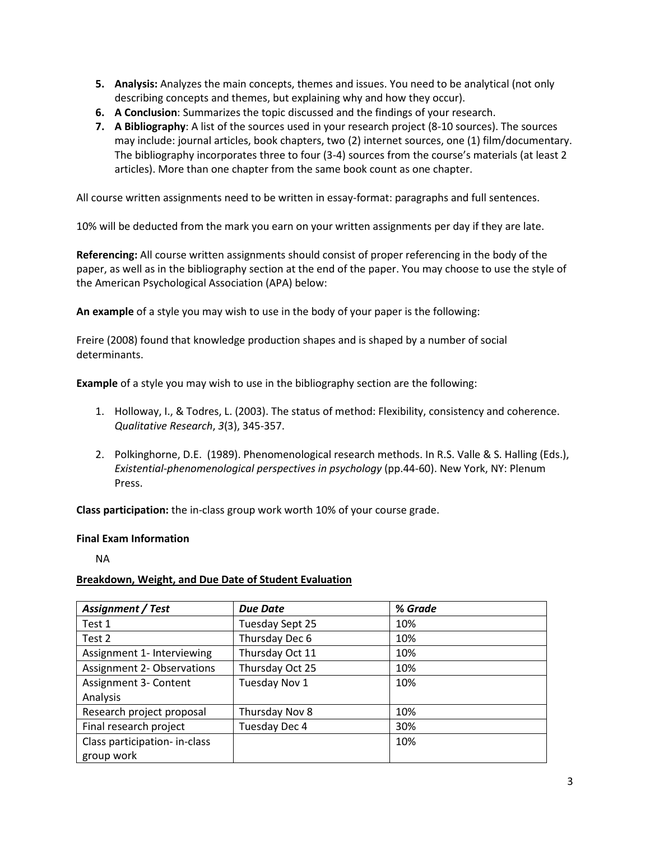- **5. Analysis:** Analyzes the main concepts, themes and issues. You need to be analytical (not only describing concepts and themes, but explaining why and how they occur).
- **6. A Conclusion**: Summarizes the topic discussed and the findings of your research.
- **7. A Bibliography**: A list of the sources used in your research project (8-10 sources). The sources may include: journal articles, book chapters, two (2) internet sources, one (1) film/documentary. The bibliography incorporates three to four (3-4) sources from the course's materials (at least 2 articles). More than one chapter from the same book count as one chapter.

All course written assignments need to be written in essay-format: paragraphs and full sentences.

10% will be deducted from the mark you earn on your written assignments per day if they are late.

**Referencing:** All course written assignments should consist of proper referencing in the body of the paper, as well as in the bibliography section at the end of the paper. You may choose to use the style of the American Psychological Association (APA) below:

**An example** of a style you may wish to use in the body of your paper is the following:

Freire (2008) found that knowledge production shapes and is shaped by a number of social determinants.

**Example** of a style you may wish to use in the bibliography section are the following:

- 1. Holloway, I., & Todres, L. (2003). The status of method: Flexibility, consistency and coherence. *Qualitative Research*, *3*(3), 345-357.
- 2. Polkinghorne, D.E. (1989). Phenomenological research methods. In R.S. Valle & S. Halling (Eds.), *Existential-phenomenological perspectives in psychology* (pp.44-60). New York, NY: Plenum Press.

**Class participation:** the in-class group work worth 10% of your course grade.

#### **Final Exam Information**

NA

#### **Breakdown, Weight, and Due Date of Student Evaluation**

| Assignment / Test                 | <b>Due Date</b> | % Grade |
|-----------------------------------|-----------------|---------|
| Test 1                            | Tuesday Sept 25 | 10%     |
| Test 2                            | Thursday Dec 6  | 10%     |
| Assignment 1- Interviewing        | Thursday Oct 11 | 10%     |
| <b>Assignment 2- Observations</b> | Thursday Oct 25 | 10%     |
| Assignment 3- Content             | Tuesday Nov 1   | 10%     |
| Analysis                          |                 |         |
| Research project proposal         | Thursday Nov 8  | 10%     |
| Final research project            | Tuesday Dec 4   | 30%     |
| Class participation- in-class     |                 | 10%     |
| group work                        |                 |         |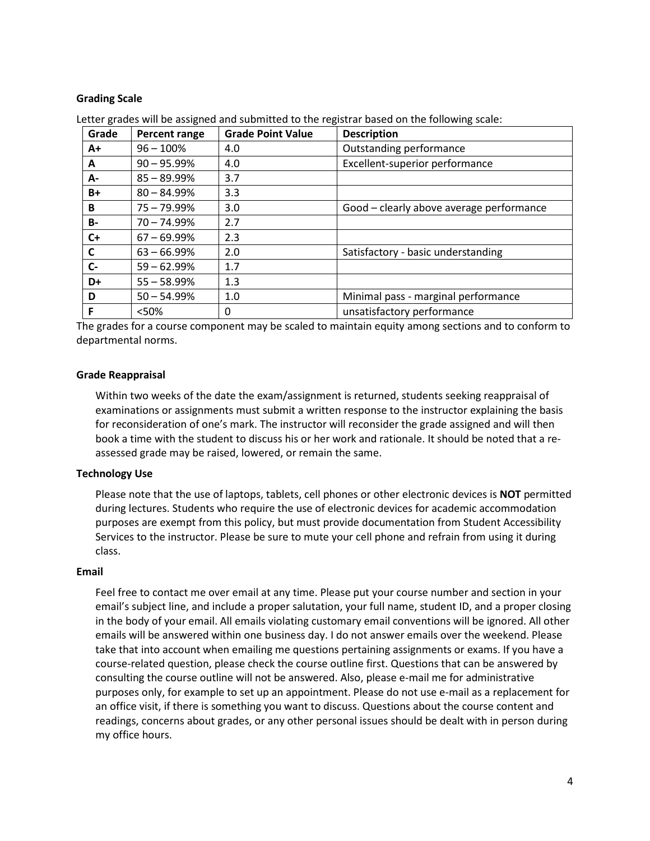## **Grading Scale**

| Grade     | Percent range  | <b>Grade Point Value</b> | <b>Description</b>                       |
|-----------|----------------|--------------------------|------------------------------------------|
| A+        | $96 - 100%$    | 4.0                      | Outstanding performance                  |
| A         | $90 - 95.99\%$ | 4.0                      | Excellent-superior performance           |
| А-        | $85 - 89.99\%$ | 3.7                      |                                          |
| B+        | $80 - 84.99\%$ | 3.3                      |                                          |
| B         | 75 - 79.99%    | 3.0                      | Good - clearly above average performance |
| <b>B-</b> | $70 - 74.99%$  | 2.7                      |                                          |
| $C+$      | $67 - 69.99%$  | 2.3                      |                                          |
| C         | $63 - 66.99%$  | 2.0                      | Satisfactory - basic understanding       |
| $C-$      | $59 - 62.99%$  | 1.7                      |                                          |
| D+        | $55 - 58.99%$  | 1.3                      |                                          |
| D         | $50 - 54.99%$  | 1.0                      | Minimal pass - marginal performance      |
| F         | <50%           | 0                        | unsatisfactory performance               |

Letter grades will be assigned and submitted to the registrar based on the following scale:

The grades for a course component may be scaled to maintain equity among sections and to conform to departmental norms.

#### **Grade Reappraisal**

Within two weeks of the date the exam/assignment is returned, students seeking reappraisal of examinations or assignments must submit a written response to the instructor explaining the basis for reconsideration of one's mark. The instructor will reconsider the grade assigned and will then book a time with the student to discuss his or her work and rationale. It should be noted that a reassessed grade may be raised, lowered, or remain the same.

#### **Technology Use**

Please note that the use of laptops, tablets, cell phones or other electronic devices is **NOT** permitted during lectures. Students who require the use of electronic devices for academic accommodation purposes are exempt from this policy, but must provide documentation from Student Accessibility Services to the instructor. Please be sure to mute your cell phone and refrain from using it during class.

#### **Email**

Feel free to contact me over email at any time. Please put your course number and section in your email's subject line, and include a proper salutation, your full name, student ID, and a proper closing in the body of your email. All emails violating customary email conventions will be ignored. All other emails will be answered within one business day. I do not answer emails over the weekend. Please take that into account when emailing me questions pertaining assignments or exams. If you have a course-related question, please check the course outline first. Questions that can be answered by consulting the course outline will not be answered. Also, please e-mail me for administrative purposes only, for example to set up an appointment. Please do not use e-mail as a replacement for an office visit, if there is something you want to discuss. Questions about the course content and readings, concerns about grades, or any other personal issues should be dealt with in person during my office hours.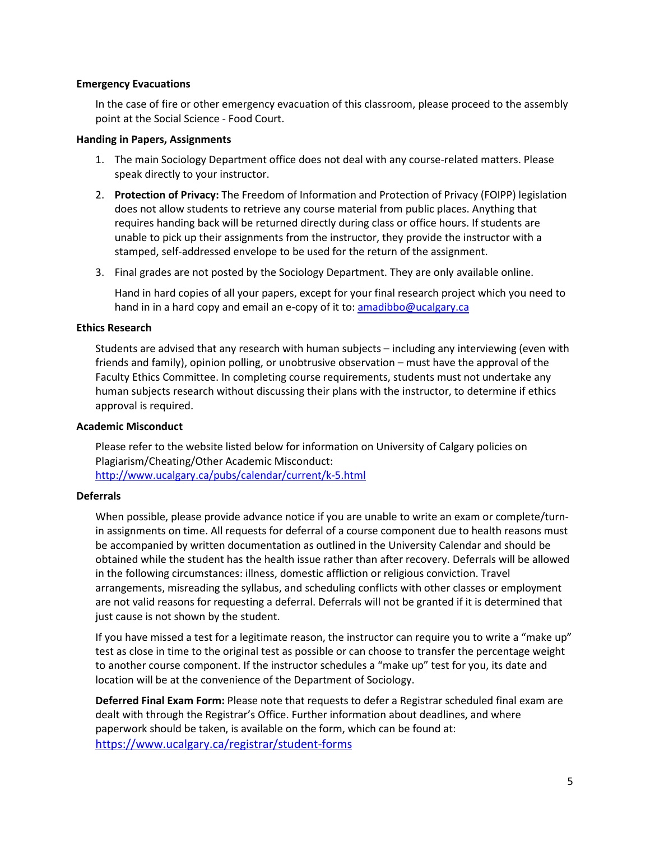#### **Emergency Evacuations**

In the case of fire or other emergency evacuation of this classroom, please proceed to the assembly point at the Social Science - Food Court.

#### **Handing in Papers, Assignments**

- 1. The main Sociology Department office does not deal with any course-related matters. Please speak directly to your instructor.
- 2. **Protection of Privacy:** The Freedom of Information and Protection of Privacy (FOIPP) legislation does not allow students to retrieve any course material from public places. Anything that requires handing back will be returned directly during class or office hours. If students are unable to pick up their assignments from the instructor, they provide the instructor with a stamped, self-addressed envelope to be used for the return of the assignment.
- 3. Final grades are not posted by the Sociology Department. They are only available online.

Hand in hard copies of all your papers, except for your final research project which you need to hand in in a hard copy and email an e-copy of it to: [amadibbo@ucalgary.ca](mailto:amadibbo@ucalgary.ca)

#### **Ethics Research**

Students are advised that any research with human subjects – including any interviewing (even with friends and family), opinion polling, or unobtrusive observation – must have the approval of the Faculty Ethics Committee. In completing course requirements, students must not undertake any human subjects research without discussing their plans with the instructor, to determine if ethics approval is required.

## **Academic Misconduct**

Please refer to the website listed below for information on University of Calgary policies on Plagiarism/Cheating/Other Academic Misconduct: <http://www.ucalgary.ca/pubs/calendar/current/k-5.html>

## **Deferrals**

When possible, please provide advance notice if you are unable to write an exam or complete/turnin assignments on time. All requests for deferral of a course component due to health reasons must be accompanied by written documentation as outlined in the University Calendar and should be obtained while the student has the health issue rather than after recovery. Deferrals will be allowed in the following circumstances: illness, domestic affliction or religious conviction. Travel arrangements, misreading the syllabus, and scheduling conflicts with other classes or employment are not valid reasons for requesting a deferral. Deferrals will not be granted if it is determined that just cause is not shown by the student.

If you have missed a test for a legitimate reason, the instructor can require you to write a "make up" test as close in time to the original test as possible or can choose to transfer the percentage weight to another course component. If the instructor schedules a "make up" test for you, its date and location will be at the convenience of the Department of Sociology.

**Deferred Final Exam Form:** Please note that requests to defer a Registrar scheduled final exam are dealt with through the Registrar's Office. Further information about deadlines, and where paperwork should be taken, is available on the form, which can be found at: <https://www.ucalgary.ca/registrar/student-forms>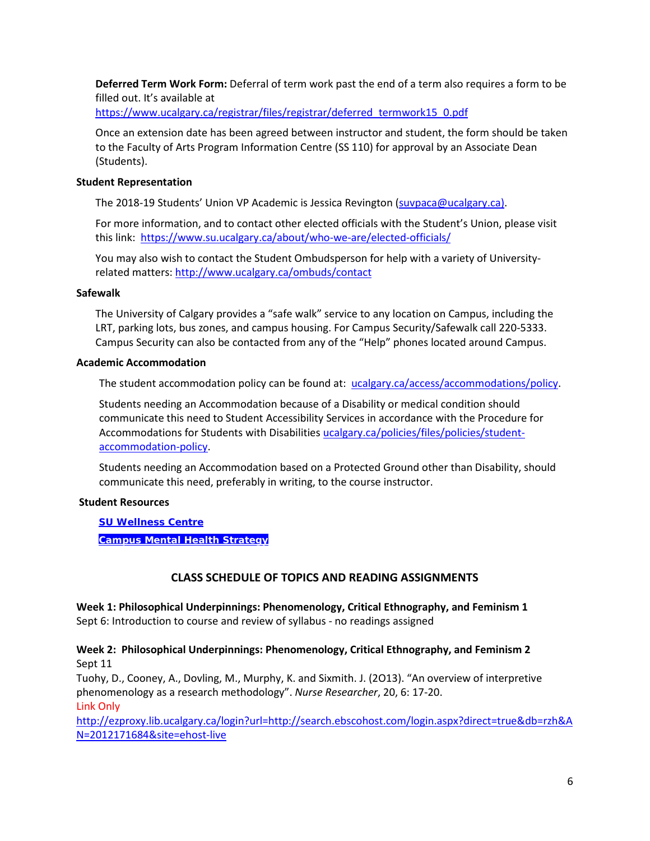**Deferred Term Work Form:** Deferral of term work past the end of a term also requires a form to be filled out. It's available at

[https://www.ucalgary.ca/registrar/files/registrar/deferred\\_termwork15\\_0.pdf](https://www.ucalgary.ca/registrar/files/registrar/deferred_termwork15_0.pdf) 

Once an extension date has been agreed between instructor and student, the form should be taken to the Faculty of Arts Program Information Centre (SS 110) for approval by an Associate Dean (Students).

#### **Student Representation**

The 2018-19 Students' Union VP Academic is Jessica Revington [\(suvpaca@ucalgary.ca\)](mailto:suvpaca@ucalgary.ca).

For more information, and to contact other elected officials with the Student's Union, please visit this link:<https://www.su.ucalgary.ca/about/who-we-are/elected-officials/>

You may also wish to contact the Student Ombudsperson for help with a variety of Universityrelated matters:<http://www.ucalgary.ca/ombuds/contact>

#### **Safewalk**

The University of Calgary provides a "safe walk" service to any location on Campus, including the LRT, parking lots, bus zones, and campus housing. For Campus Security/Safewalk call 220-5333. Campus Security can also be contacted from any of the "Help" phones located around Campus.

#### **Academic Accommodation**

The student accommodation policy can be found at: [ucalgary.ca/access/accommodations/policy.](http://www.ucalgary.ca/access/accommodations/policy)

Students needing an Accommodation because of a Disability or medical condition should communicate this need to Student Accessibility Services in accordance with the Procedure for Accommodations for Students with Disabilities [ucalgary.ca/policies/files/policies/student](http://www.ucalgary.ca/policies/files/policies/student-accommodation-policy.pdf)[accommodation-policy.](http://www.ucalgary.ca/policies/files/policies/student-accommodation-policy.pdf)

Students needing an Accommodation based on a Protected Ground other than Disability, should communicate this need, preferably in writing, to the course instructor.

## **Student Resources**

**[SU Wellness Centre](http://www.ucalgary.ca/wellnesscentre/)**

**[Campus Mental Health Strategy](https://www.ucalgary.ca/mentalhealth/)**

## **CLASS SCHEDULE OF TOPICS AND READING ASSIGNMENTS**

**Week 1: Philosophical Underpinnings: Phenomenology, Critical Ethnography, and Feminism 1**  Sept 6: Introduction to course and review of syllabus - no readings assigned

**Week 2: Philosophical Underpinnings: Phenomenology, Critical Ethnography, and Feminism 2** Sept 11

Tuohy, D., Cooney, A., Dovling, M., Murphy, K. and Sixmith. J. (2O13). "An overview of interpretive phenomenology as a research methodology". *Nurse Researcher*, 20, 6: 17-20. Link Only

[http://ezproxy.lib.ucalgary.ca/login?url=http://search.ebscohost.com/login.aspx?direct=true&db=rzh&A](http://ezproxy.lib.ucalgary.ca/login?url=http://search.ebscohost.com/login.aspx?direct=true&db=rzh&AN=2012171684&site=ehost-live) [N=2012171684&site=ehost-live](http://ezproxy.lib.ucalgary.ca/login?url=http://search.ebscohost.com/login.aspx?direct=true&db=rzh&AN=2012171684&site=ehost-live)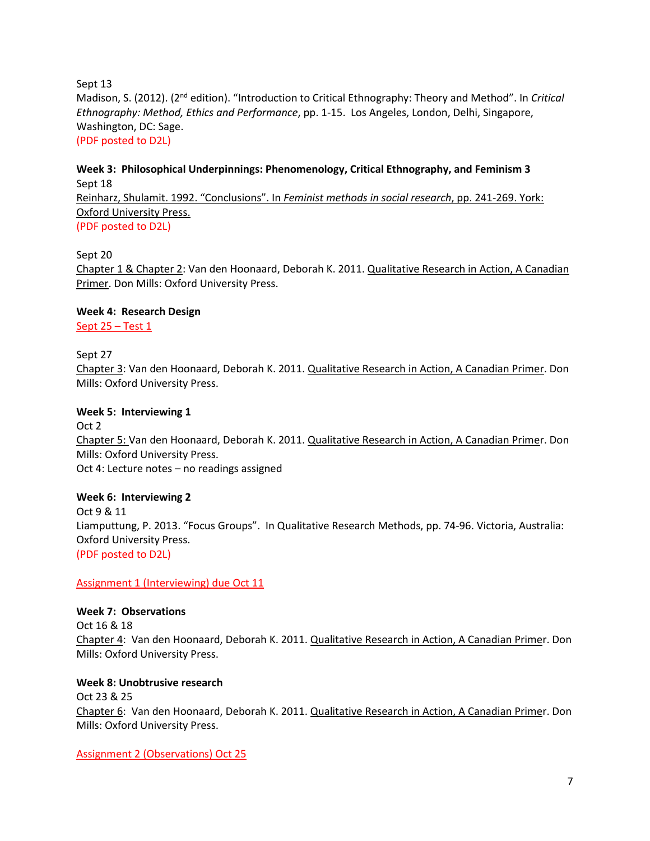Sept 13 Madison, S. (2012). (2<sup>nd</sup> edition). "Introduction to Critical Ethnography: Theory and Method". In *Critical Ethnography: Method, Ethics and Performance*, pp. 1-15. Los Angeles, London, Delhi, Singapore, Washington, DC: Sage. (PDF posted to D2L)

# **Week 3: Philosophical Underpinnings: Phenomenology, Critical Ethnography, and Feminism 3** Sept 18 Reinharz, Shulamit. 1992. "Conclusions". In *Feminist methods in social research*, pp. 241-269. York: Oxford University Press. (PDF posted to D2L)

## Sept 20

Chapter 1 & Chapter 2: Van den Hoonaard, Deborah K. 2011. Qualitative Research in Action, A Canadian Primer. Don Mills: Oxford University Press.

## **Week 4: Research Design**

Sept 25 – Test 1

## Sept 27

Chapter 3: Van den Hoonaard, Deborah K. 2011. Qualitative Research in Action, A Canadian Primer. Don Mills: Oxford University Press.

## **Week 5: Interviewing 1**

Oct 2 Chapter 5: Van den Hoonaard, Deborah K. 2011. Qualitative Research in Action, A Canadian Primer. Don Mills: Oxford University Press. Oct 4: Lecture notes – no readings assigned

# **Week 6: Interviewing 2**

Oct 9 & 11 Liamputtung, P. 2013. "Focus Groups". In Qualitative Research Methods, pp. 74-96. Victoria, Australia: Oxford University Press. (PDF posted to D2L)

## Assignment 1 (Interviewing) due Oct 11

**Week 7: Observations**  Oct 16 & 18 Chapter 4: Van den Hoonaard, Deborah K. 2011. Qualitative Research in Action, A Canadian Primer. Don Mills: Oxford University Press.

**Week 8: Unobtrusive research**  Oct 23 & 25 Chapter 6: Van den Hoonaard, Deborah K. 2011. Qualitative Research in Action, A Canadian Primer. Don Mills: Oxford University Press.

Assignment 2 (Observations) Oct 25